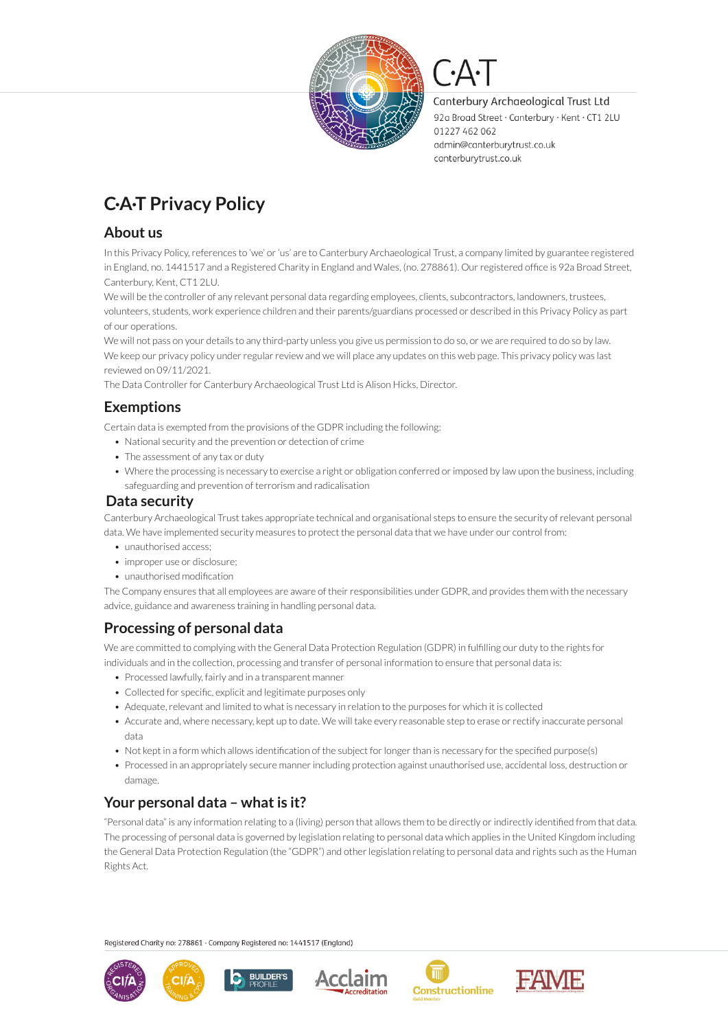

Canterbury Archaeological Trust Ltd 92a Broad Street · Canterbury · Kent · CT1 2LU 01227 462 062 admin@canterburytrust.co.uk canterburytrust.co.uk

# **C·A·T Privacy Policy**

### **About us**

In this Privacy Policy, references to 'we' or 'us' are to Canterbury Archaeological Trust, a company limited by guarantee registered in England, no. 1441517 and a Registered Charity in England and Wales, (no. 278861). Our registered office is 92a Broad Street, Canterbury, Kent, CT1 2LU.

We will be the controller of any relevant personal data regarding employees, clients, subcontractors, landowners, trustees, volunteers, students, work experience children and their parents/guardians processed or described in this Privacy Policy as part of our operations.

We will not pass on your details to any third-party unless you give us permission to do so, or we are required to do so by law. We keep our privacy policy under regular review and we will place any updates on this web page. This privacy policy was last reviewed on 09/11/2021.

The Data Controller for Canterbury Archaeological Trust Ltd is Alison Hicks, Director.

# **Exemptions**

Certain data is exempted from the provisions of the GDPR including the following:

- National security and the prevention or detection of crime
- The assessment of any tax or duty
- Where the processing is necessary to exercise a right or obligation conferred or imposed by law upon the business, including safeguarding and prevention of terrorism and radicalisation

### **Data security**

Canterbury Archaeological Trust takes appropriate technical and organisational steps to ensure the security of relevant personal data. We have implemented security measures to protect the personal data that we have under our control from:

- unauthorised access:
- improper use or disclosure:
- unauthorised modification

The Company ensures that all employees are aware of their responsibilities under GDPR, and provides them with the necessary advice, guidance and awareness training in handling personal data.

# **Processing of personal data**

We are committed to complying with the General Data Protection Regulation (GDPR) in fulfilling our duty to the rights for individuals and in the collection, processing and transfer of personal information to ensure that personal data is:

- Processed lawfully, fairly and in a transparent manner
- Collected for specific, explicit and legitimate purposes only
- Adequate, relevant and limited to what is necessary in relation to the purposes for which it is collected
- Accurate and, where necessary, kept up to date. We will take every reasonable step to erase or rectify inaccurate personal data
- Not kept in a form which allows identification of the subject for longer than is necessary for the specified purpose(s)
- Processed in an appropriately secure manner including protection against unauthorised use, accidental loss, destruction or damage.

# **Your personal data – what is it?**

"Personal data" is any information relating to a (living) person that allows them to be directly or indirectly identified from that data. The processing of personal data is governed by legislation relating to personal data which applies in the United Kingdom including the General Data Protection Regulation (the "GDPR") and other legislation relating to personal data and rights such as the Human Rights Act.

1

Registered Charity no: 278861 · Company Registered no: 1441517 (England)

**BUILDER'S** 









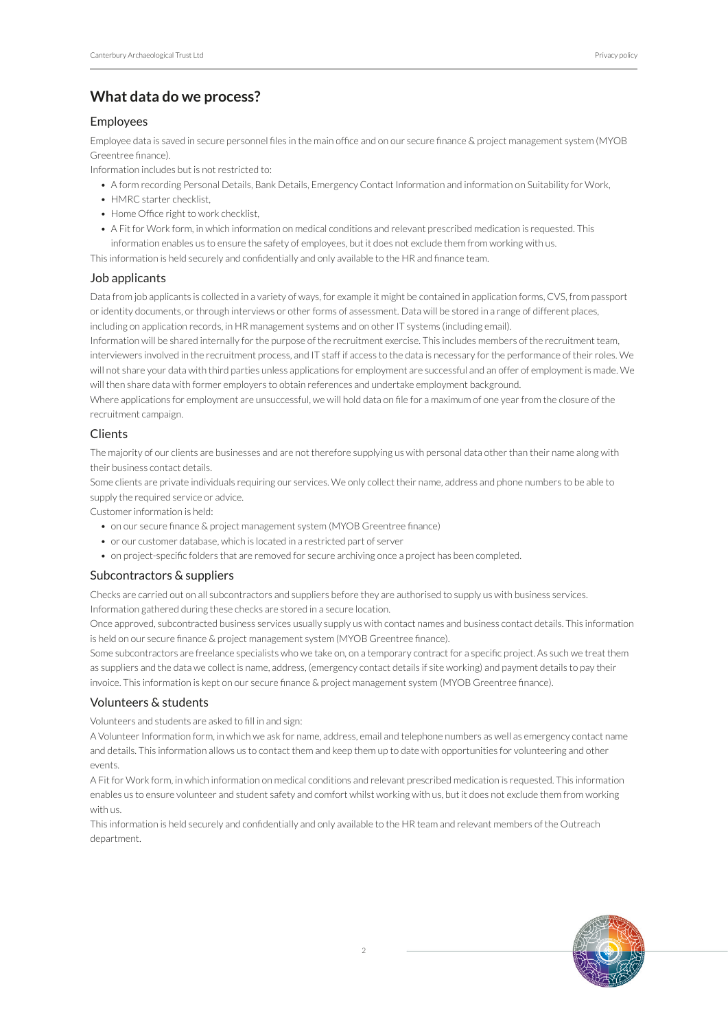### **What data do we process?**

#### Employees

Employee data is saved in secure personnel files in the main office and on our secure finance & project management system (MYOB Greentree finance).

Information includes but is not restricted to:

- A form recording Personal Details, Bank Details, Emergency Contact Information and information on Suitability for Work,
- HMRC starter checklist,
- Home Office right to work checklist
- A Fit for Work form, in which information on medical conditions and relevant prescribed medication is requested. This information enables us to ensure the safety of employees, but it does not exclude them from working with us.

This information is held securely and confidentially and only available to the HR and finance team.

#### Job applicants

Data from job applicants is collected in a variety of ways, for example it might be contained in application forms, CVS, from passport or identity documents, or through interviews or other forms of assessment. Data will be stored in a range of different places, including on application records, in HR management systems and on other IT systems (including email).

Information will be shared internally for the purpose of the recruitment exercise. This includes members of the recruitment team, interviewers involved in the recruitment process, and IT staff if access to the data is necessary for the performance of their roles. We will not share your data with third parties unless applications for employment are successful and an offer of employment is made. We will then share data with former employers to obtain references and undertake employment background.

Where applications for employment are unsuccessful, we will hold data on file for a maximum of one year from the closure of the recruitment campaign.

#### **Clients**

The majority of our clients are businesses and are not therefore supplying us with personal data other than their name along with their business contact details.

Some clients are private individuals requiring our services. We only collect their name, address and phone numbers to be able to supply the required service or advice.

Customer information is held:

- on our secure finance & project management system (MYOB Greentree finance)
- or our customer database, which is located in a restricted part of server
- on project-specific folders that are removed for secure archiving once a project has been completed.

#### Subcontractors & suppliers

Checks are carried out on all subcontractors and suppliers before they are authorised to supply us with business services. Information gathered during these checks are stored in a secure location.

Once approved, subcontracted business services usually supply us with contact names and business contact details. This information is held on our secure finance & project management system (MYOB Greentree finance).

Some subcontractors are freelance specialists who we take on, on a temporary contract for a specific project. As such we treat them as suppliers and the data we collect is name, address, (emergency contact details if site working) and payment details to pay their invoice. This information is kept on our secure finance & project management system (MYOB Greentree finance).

#### Volunteers & students

Volunteers and students are asked to fill in and sign:

A Volunteer Information form, in which we ask for name, address, email and telephone numbers as well as emergency contact name and details. This information allows us to contact them and keep them up to date with opportunities for volunteering and other events.

A Fit for Work form, in which information on medical conditions and relevant prescribed medication is requested. This information enables us to ensure volunteer and student safety and comfort whilst working with us, but it does not exclude them from working with us.

This information is held securely and confidentially and only available to the HR team and relevant members of the Outreach department.

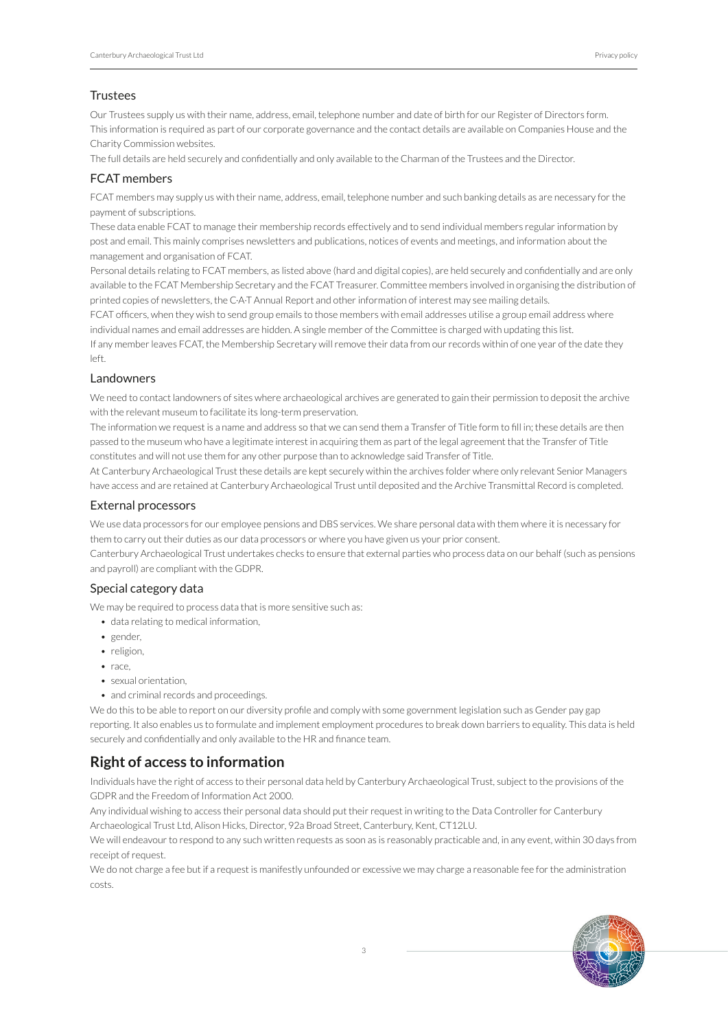#### **Trustees**

Our Trustees supply us with their name, address, email, telephone number and date of birth for our Register of Directors form. This information is required as part of our corporate governance and the contact details are available on Companies House and the Charity Commission websites.

The full details are held securely and confidentially and only available to the Charman of the Trustees and the Director.

#### FCAT members

FCAT members may supply us with their name, address, email, telephone number and such banking details as are necessary for the payment of subscriptions.

These data enable FCAT to manage their membership records effectively and to send individual members regular information by post and email. This mainly comprises newsletters and publications, notices of events and meetings, and information about the management and organisation of FCAT.

Personal details relating to FCAT members, as listed above (hard and digital copies), are held securely and confidentially and are only available to the FCAT Membership Secretary and the FCAT Treasurer. Committee members involved in organising the distribution of printed copies of newsletters, the C·A·T Annual Report and other information of interest may see mailing details.

FCAT officers, when they wish to send group emails to those members with email addresses utilise a group email address where individual names and email addresses are hidden. A single member of the Committee is charged with updating this list.

If any member leaves FCAT, the Membership Secretary will remove their data from our records within of one year of the date they left.

#### Landowners

We need to contact landowners of sites where archaeological archives are generated to gain their permission to deposit the archive with the relevant museum to facilitate its long-term preservation.

The information we request is a name and address so that we can send them a Transfer of Title form to fill in; these details are then passed to the museum who have a legitimate interest in acquiring them as part of the legal agreement that the Transfer of Title constitutes and will not use them for any other purpose than to acknowledge said Transfer of Title.

At Canterbury Archaeological Trust these details are kept securely within the archives folder where only relevant Senior Managers have access and are retained at Canterbury Archaeological Trust until deposited and the Archive Transmittal Record is completed.

#### External processors

We use data processors for our employee pensions and DBS services. We share personal data with them where it is necessary for them to carry out their duties as our data processors or where you have given us your prior consent.

Canterbury Archaeological Trust undertakes checks to ensure that external parties who process data on our behalf (such as pensions and payroll) are compliant with the GDPR.

#### Special category data

We may be required to process data that is more sensitive such as:

- data relating to medical information,
- gender,
- religion,
- race,
- sexual orientation,
- and criminal records and proceedings.

We do this to be able to report on our diversity profile and comply with some government legislation such as Gender pay gap reporting. It also enables us to formulate and implement employment procedures to break down barriers to equality. This data is held securely and confidentially and only available to the HR and finance team.

### **Right of access to information**

Individuals have the right of access to their personal data held by Canterbury Archaeological Trust, subject to the provisions of the GDPR and the Freedom of Information Act 2000.

Any individual wishing to access their personal data should put their request in writing to the Data Controller for Canterbury Archaeological Trust Ltd, Alison Hicks, Director, 92a Broad Street, Canterbury, Kent, CT12LU.

We will endeavour to respond to any such written requests as soon as is reasonably practicable and, in any event, within 30 days from receipt of request.

We do not charge a fee but if a request is manifestly unfounded or excessive we may charge a reasonable fee for the administration costs.

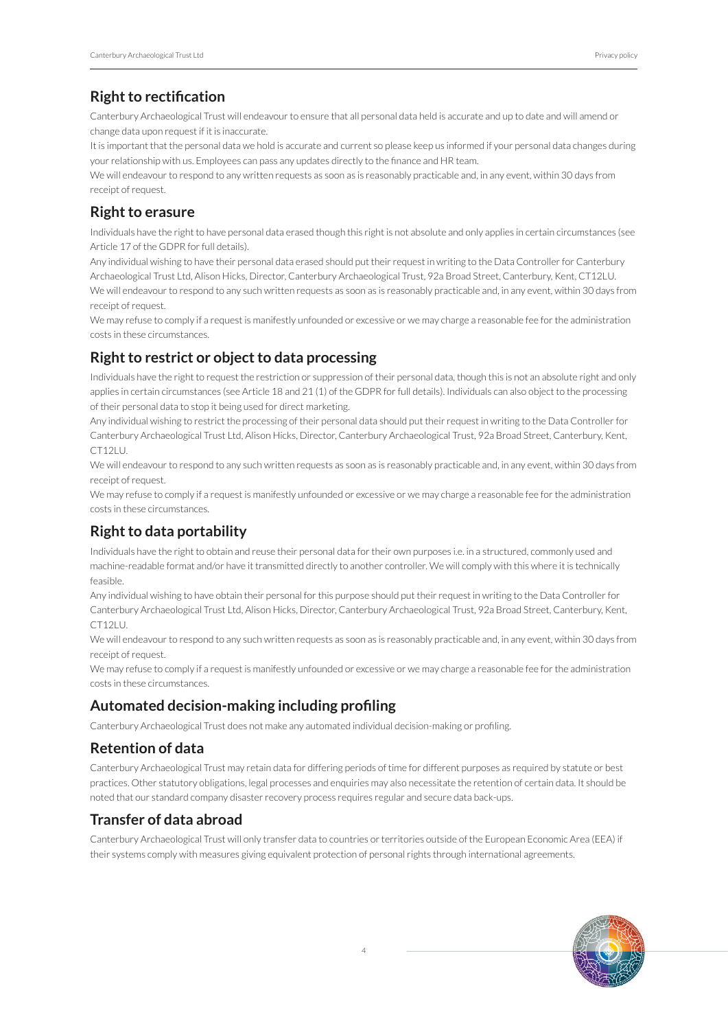### **Right to rectification**

Canterbury Archaeological Trust will endeavour to ensure that all personal data held is accurate and up to date and will amend or change data upon request if it is inaccurate.

It is important that the personal data we hold is accurate and current so please keep us informed if your personal data changes during your relationship with us. Employees can pass any updates directly to the finance and HR team.

We will endeavour to respond to any written requests as soon as is reasonably practicable and, in any event, within 30 days from receipt of request.

### **Right to erasure**

Individuals have the right to have personal data erased though this right is not absolute and only applies in certain circumstances (see Article 17 of the GDPR for full details).

Any individual wishing to have their personal data erased should put their request in writing to the Data Controller for Canterbury Archaeological Trust Ltd, Alison Hicks, Director, Canterbury Archaeological Trust, 92a Broad Street, Canterbury, Kent, CT12LU. We will endeavour to respond to any such written requests as soon as is reasonably practicable and, in any event, within 30 days from receipt of request.

We may refuse to comply if a request is manifestly unfounded or excessive or we may charge a reasonable fee for the administration costs in these circumstances.

### **Right to restrict or object to data processing**

Individuals have the right to request the restriction or suppression of their personal data, though this is not an absolute right and only applies in certain circumstances (see Article 18 and 21 (1) of the GDPR for full details). Individuals can also object to the processing of their personal data to stop it being used for direct marketing.

Any individual wishing to restrict the processing of their personal data should put their request in writing to the Data Controller for Canterbury Archaeological Trust Ltd, Alison Hicks, Director, Canterbury Archaeological Trust, 92a Broad Street, Canterbury, Kent, CT12LU.

We will endeavour to respond to any such written requests as soon as is reasonably practicable and, in any event, within 30 days from receipt of request.

We may refuse to comply if a request is manifestly unfounded or excessive or we may charge a reasonable fee for the administration costs in these circumstances.

# **Right to data portability**

Individuals have the right to obtain and reuse their personal data for their own purposes i.e. in a structured, commonly used and machine-readable format and/or have it transmitted directly to another controller. We will comply with this where it is technically feasible.

Any individual wishing to have obtain their personal for this purpose should put their request in writing to the Data Controller for Canterbury Archaeological Trust Ltd, Alison Hicks, Director, Canterbury Archaeological Trust, 92a Broad Street, Canterbury, Kent, CT12LU.

We will endeavour to respond to any such written requests as soon as is reasonably practicable and, in any event, within 30 days from receipt of request.

We may refuse to comply if a request is manifestly unfounded or excessive or we may charge a reasonable fee for the administration costs in these circumstances.

### **Automated decision-making including profiling**

Canterbury Archaeological Trust does not make any automated individual decision-making or profiling.

### **Retention of data**

Canterbury Archaeological Trust may retain data for differing periods of time for different purposes as required by statute or best practices. Other statutory obligations, legal processes and enquiries may also necessitate the retention of certain data. It should be noted that our standard company disaster recovery process requires regular and secure data back-ups.

### **Transfer of data abroad**

Canterbury Archaeological Trust will only transfer data to countries or territories outside of the European Economic Area (EEA) if their systems comply with measures giving equivalent protection of personal rights through international agreements.